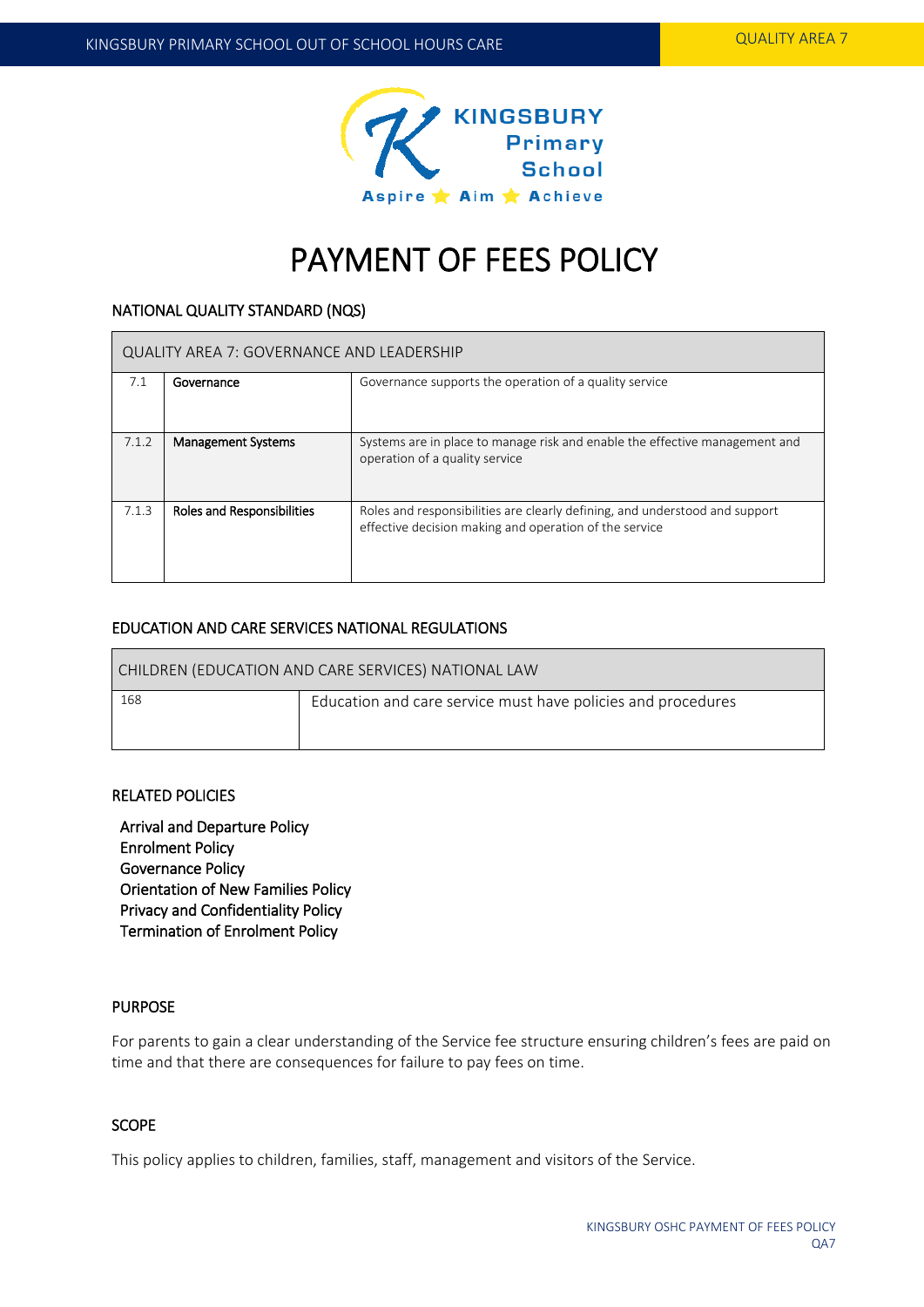

# PAYMENT OF FEES POLICY

#### NATIONAL QUALITY STANDARD (NQS)

| QUALITY AREA 7: GOVERNANCE AND LEADERSHIP |                                   |                                                                                                                                       |  |  |  |
|-------------------------------------------|-----------------------------------|---------------------------------------------------------------------------------------------------------------------------------------|--|--|--|
| 7.1                                       | Governance                        | Governance supports the operation of a quality service                                                                                |  |  |  |
| 7.1.2                                     | <b>Management Systems</b>         | Systems are in place to manage risk and enable the effective management and<br>operation of a quality service                         |  |  |  |
| 7.1.3                                     | <b>Roles and Responsibilities</b> | Roles and responsibilities are clearly defining, and understood and support<br>effective decision making and operation of the service |  |  |  |

# EDUCATION AND CARE SERVICES NATIONAL REGULATIONS

| CHILDREN (EDUCATION AND CARE SERVICES) NATIONAL LAW |                                                              |  |  |  |
|-----------------------------------------------------|--------------------------------------------------------------|--|--|--|
| 168                                                 | Education and care service must have policies and procedures |  |  |  |

## RELATED POLICIES

Arrival and Departure Policy Enrolment Policy Governance Policy Orientation of New Families Policy Privacy and Confidentiality Policy Termination of Enrolment Policy

#### PURPOSE

For parents to gain a clear understanding of the Service fee structure ensuring children's fees are paid on time and that there are consequences for failure to pay fees on time.

# **SCOPE**

This policy applies to children, families, staff, management and visitors of the Service.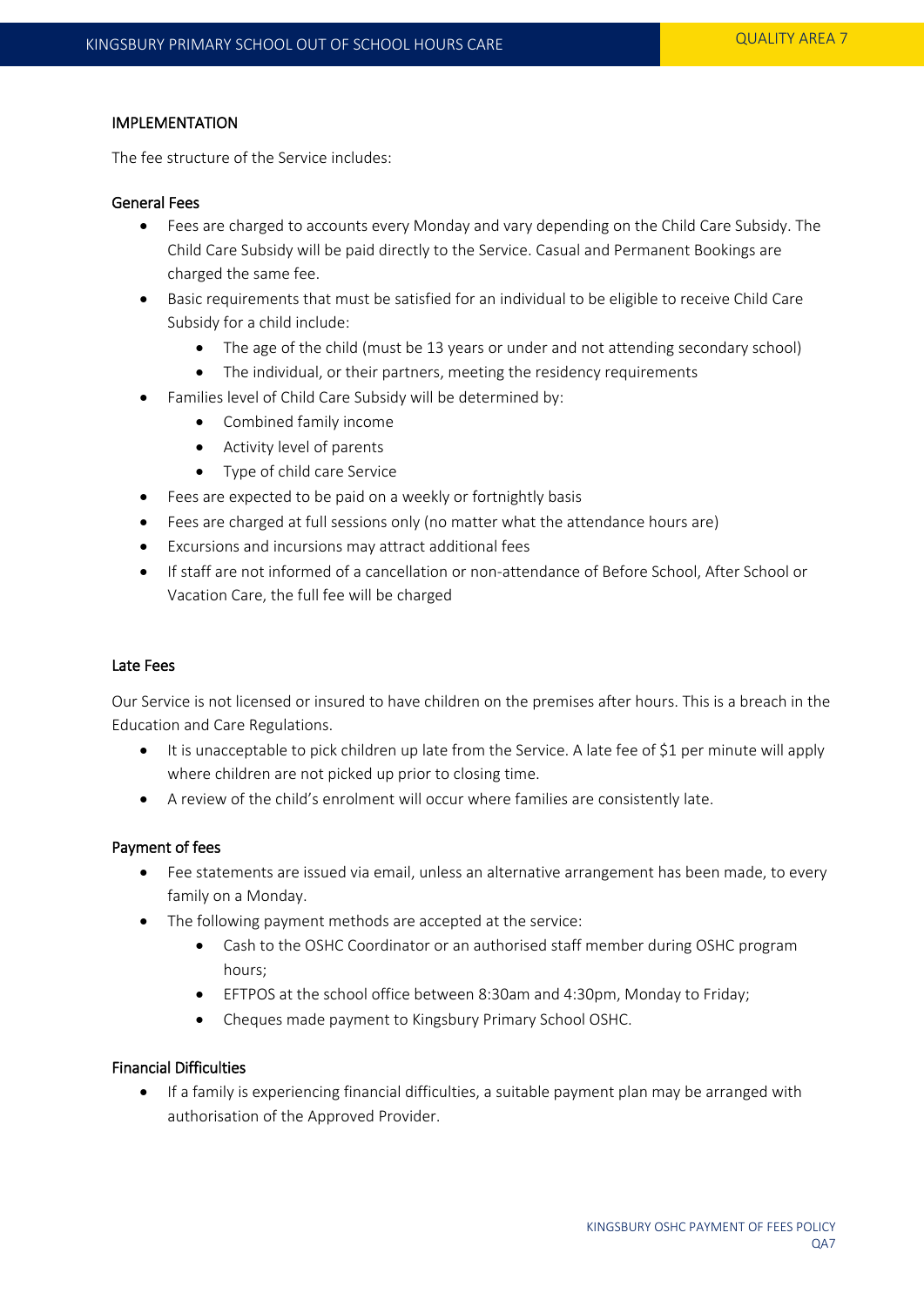## IMPLEMENTATION

The fee structure of the Service includes:

## General Fees

- Fees are charged to accounts every Monday and vary depending on the Child Care Subsidy. The Child Care Subsidy will be paid directly to the Service. Casual and Permanent Bookings are charged the same fee.
- Basic requirements that must be satisfied for an individual to be eligible to receive Child Care Subsidy for a child include:
	- The age of the child (must be 13 years or under and not attending secondary school)
	- The individual, or their partners, meeting the residency requirements
- Families level of Child Care Subsidy will be determined by:
	- Combined family income
	- Activity level of parents
	- Type of child care Service
- Fees are expected to be paid on a weekly or fortnightly basis
- Fees are charged at full sessions only (no matter what the attendance hours are)
- Excursions and incursions may attract additional fees
- If staff are not informed of a cancellation or non-attendance of Before School, After School or Vacation Care, the full fee will be charged

#### Late Fees

Our Service is not licensed or insured to have children on the premises after hours. This is a breach in the Education and Care Regulations.

- It is unacceptable to pick children up late from the Service. A late fee of \$1 per minute will apply where children are not picked up prior to closing time.
- A review of the child's enrolment will occur where families are consistently late.

#### Payment of fees

- Fee statements are issued via email, unless an alternative arrangement has been made, to every family on a Monday.
- The following payment methods are accepted at the service:
	- Cash to the OSHC Coordinator or an authorised staff member during OSHC program hours;
	- EFTPOS at the school office between 8:30am and 4:30pm, Monday to Friday;
	- Cheques made payment to Kingsbury Primary School OSHC.

## Financial Difficulties

 If a family is experiencing financial difficulties, a suitable payment plan may be arranged with authorisation of the Approved Provider.